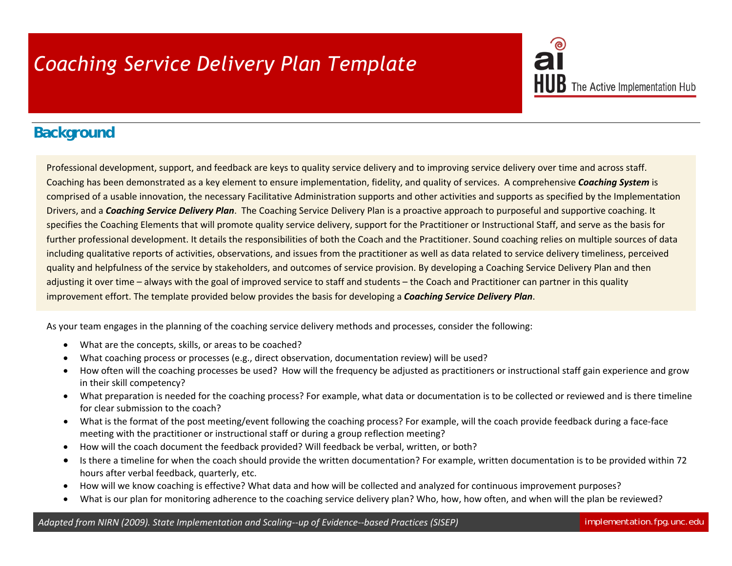## *Coaching Service Delivery Plan Template*

## $\mathbf B$  The Active Implementation Hub

## **Background**

Professional development, support, and feedback are keys to quality service delivery and to improving service delivery over time and across staff. Coaching has been demonstrated as <sup>a</sup> key element to ensure implementation, fidelity, and quality of services. A comprehensive *Coaching System* is comprised of <sup>a</sup> usable innovation, the necessary Facilitative Administration supports and other activities and supports as specified by the Implementation Drivers, and <sup>a</sup> *Coaching Service Delivery Plan*. The Coaching Service Delivery Plan is <sup>a</sup> proactive approach to purposeful and supportive coaching. It specifies the Coaching Elements that will promote quality service delivery, support for the Practitioner or Instructional Staff, and serve as the basis for further professional development. It details the responsibilities of both the Coach and the Practitioner. Sound coaching relies on multiple sources of data including qualitative reports of activities, observations, and issues from the practitioner as well as data related to service delivery timeliness, perceived quality and helpfulness of the service by stakeholders, and outcomes of service provision. By developing <sup>a</sup> Coaching Service Delivery Plan and then adjusting it over time - always with the goal of improved service to staff and students - the Coach and Practitioner can partner in this quality improvement effort. The template provided below provides the basis for developing <sup>a</sup> *Coaching Service Delivery Plan*.

As your team engages in the planning of the coaching service delivery methods and processes, consider the following:

- $\bullet$ What are the concepts, skills, or areas to be coached?
- $\bullet$ What coaching process or processes (e.g., direct observation, documentation review) will be used?
- 0 How often will the coaching processes be used? How will the frequency be adjusted as practitioners or instructional staff gain experience and grow in their skill competency?
- What preparation is needed for the coaching process? For example, what data or documentation is to be collected or reviewed and is there timeline for clear submission to the coach?
- $\bullet$ ● What is the format of the post meeting/event following the coaching process? For example, will the coach provide feedback during a face-face meeting with the practitioner or instructional staff or during <sup>a</sup> group reflection meeting?
- $\bullet$ How will the coach document the feedback provided? Will feedback be verbal, written, or both?
- $\bullet$  Is there <sup>a</sup> timeline for when the coach should provide the written documentation? For example, written documentation is to be provided within 72 hours after verbal feedback, quarterly, etc.
- $\bullet$ How will we know coaching is effective? What data and how will be collected and analyzed for continuous improvement purposes?
- 0 What is our plan for monitoring adherence to the coaching service delivery plan? Who, how, how often, and when will the plan be reviewed?